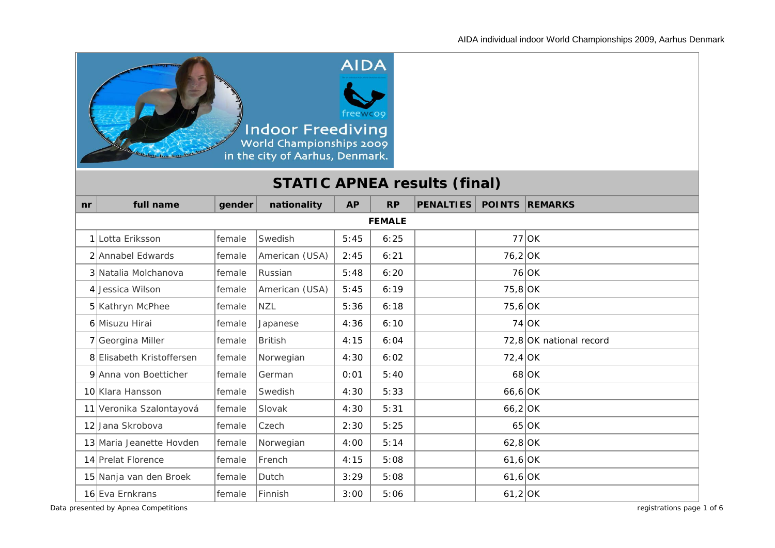

# **STATIC APNEA results (final)**

| nr | full name                 | gender | nationality    | <b>AP</b> | <b>RP</b> | <b>PENALTIES</b> |           | <b>POINTS REMARKS</b>   |  |  |  |
|----|---------------------------|--------|----------------|-----------|-----------|------------------|-----------|-------------------------|--|--|--|
|    | <b>FEMALE</b>             |        |                |           |           |                  |           |                         |  |  |  |
|    | 1 Lotta Eriksson          | female | Swedish        | 5:45      | 6:25      |                  |           | $77$ OK                 |  |  |  |
|    | 2 Annabel Edwards         | female | American (USA) | 2:45      | 6:21      |                  | $76,2$ OK |                         |  |  |  |
|    | 3 Natalia Molchanova      | female | Russian        | 5:48      | 6:20      |                  |           | $76$ OK                 |  |  |  |
|    | 4 Jessica Wilson          | female | American (USA) | 5:45      | 6:19      |                  | $75,8$ OK |                         |  |  |  |
|    | 5 Kathryn McPhee          | female | <b>NZL</b>     | 5:36      | 6:18      |                  | $75,6$ OK |                         |  |  |  |
|    | 6 Misuzu Hirai            | female | Japanese       | 4:36      | 6:10      |                  |           | $74$ OK                 |  |  |  |
|    | 7 Georgina Miller         | female | <b>British</b> | 4:15      | 6:04      |                  |           | 72,8 OK national record |  |  |  |
|    | 8 Elisabeth Kristoffersen | female | Norwegian      | 4:30      | 6:02      |                  | $72,4$ OK |                         |  |  |  |
|    | 9 Anna von Boetticher     | female | German         | 0:01      | 5:40      |                  |           | $68$ OK                 |  |  |  |
|    | 10 Klara Hansson          | female | Swedish        | 4:30      | 5:33      |                  | $66,6$ OK |                         |  |  |  |
|    | 11 Veronika Szalontayová  | female | Slovak         | 4:30      | 5:31      |                  | $66,2$ OK |                         |  |  |  |
|    | 12 Jana Skrobova          | female | Czech          | 2:30      | 5:25      |                  |           | $65$ OK                 |  |  |  |
|    | 13 Maria Jeanette Hovden  | female | Norwegian      | 4:00      | 5:14      |                  | $62,8$ OK |                         |  |  |  |
|    | 14 Prelat Florence        | female | French         | 4:15      | 5:08      |                  | $61,6$ OK |                         |  |  |  |
|    | 15 Nanja van den Broek    | female | Dutch          | 3:29      | 5:08      |                  | $61,6$ OK |                         |  |  |  |
|    | 16 Eva Ernkrans           | female | Finnish        | 3:00      | 5:06      |                  | $61,2$ OK |                         |  |  |  |

*Data presented by Apnea Competitions registrations page 1 of 6*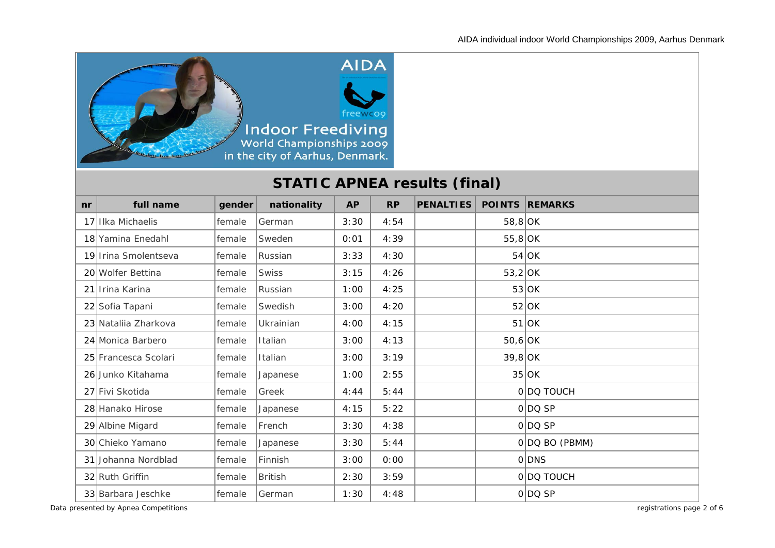

# **STATIC APNEA results (final)**

| n <b>r</b> | full name            | gender | nationality    | <b>AP</b> | <b>RP</b> | <b>PENALTIES</b> |           | <b>POINTS REMARKS</b> |
|------------|----------------------|--------|----------------|-----------|-----------|------------------|-----------|-----------------------|
|            | 17 IIka Michaelis    | female | German         | 3:30      | 4:54      |                  | $58,8$ OK |                       |
|            | 18 Yamina Enedahl    | female | Sweden         | 0:01      | 4:39      |                  | $55,8$ OK |                       |
|            | 19 Irina Smolentseva | female | Russian        | 3:33      | 4:30      |                  |           | $54$ OK               |
|            | 20 Wolfer Bettina    | female | <b>Swiss</b>   | 3:15      | 4:26      |                  | $53,2$ OK |                       |
|            | 21 Irina Karina      | female | Russian        | 1:00      | 4:25      |                  |           | 53 OK                 |
|            | 22 Sofia Tapani      | female | Swedish        | 3:00      | 4:20      |                  |           | $52$ OK               |
|            | 23 Natalija Zharkova | female | Ukrainian      | 4:00      | 4:15      |                  |           | $51$ OK               |
|            | 24 Monica Barbero    | female | Italian        | 3:00      | 4:13      |                  | $50,6$ OK |                       |
|            | 25 Francesca Scolari | female | Italian        | 3:00      | 3:19      |                  | $39,8$ OK |                       |
|            | 26 Junko Kitahama    | female | Japanese       | 1:00      | 2:55      |                  |           | $35$ OK               |
|            | 27 Fivi Skotida      | female | Greek          | 4:44      | 5:44      |                  |           | 0 DQ TOUCH            |
|            | 28 Hanako Hirose     | female | Japanese       | 4:15      | 5:22      |                  |           | $O DO$ SP             |
|            | 29 Albine Migard     | female | French         | 3:30      | 4:38      |                  |           | 0 DQSP                |
|            | 30 Chieko Yamano     | female | Japanese       | 3:30      | 5:44      |                  |           | 0 DOBO (PBMM)         |
|            | 31 Johanna Nordblad  | female | Finnish        | 3:00      | 0:00      |                  |           | 0 DNS                 |
|            | 32 Ruth Griffin      | female | <b>British</b> | 2:30      | 3:59      |                  |           | 0 DQ TOUCH            |
|            | 33 Barbara Jeschke   | female | l German       | 1:30      | 4:48      |                  |           | 0 DQSP                |

*Data presented by Apnea Competitions registrations page 2 of 6*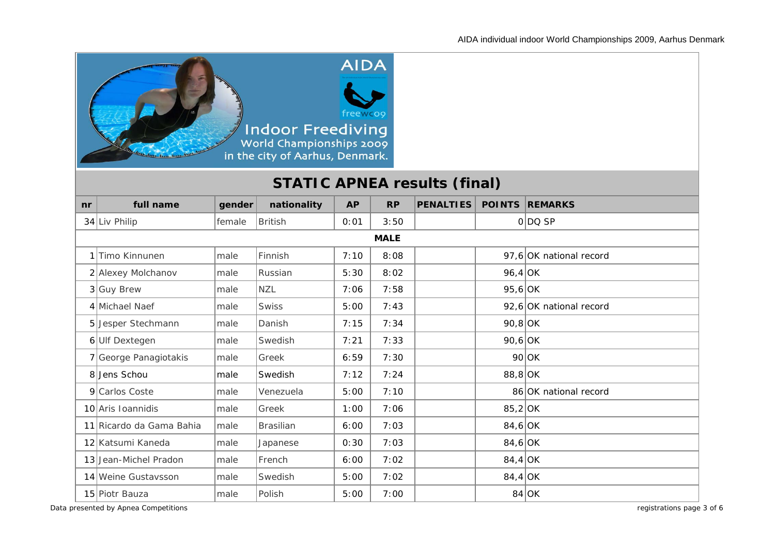

# **STATIC APNEA results (final)**

| n <b>r</b> | full name                | gender | nationality      | <b>AP</b> | <b>RP</b> | <b>PENALTIES</b> |           | <b>POINTS REMARKS</b>   |  |  |  |
|------------|--------------------------|--------|------------------|-----------|-----------|------------------|-----------|-------------------------|--|--|--|
|            | 34 Liv Philip            | female | <b>British</b>   | 0:01      | 3:50      |                  |           | 0 DQSP                  |  |  |  |
|            | <b>MALE</b>              |        |                  |           |           |                  |           |                         |  |  |  |
|            | 1 Timo Kinnunen          | lmale  | Finnish          | 7:10      | 8:08      |                  |           | 97,6 OK national record |  |  |  |
|            | 2 Alexey Molchanov       | male   | Russian          | 5:30      | 8:02      |                  | $96,4$ OK |                         |  |  |  |
|            | $3$ Guy Brew             | male   | <b>NZL</b>       | 7:06      | 7:58      |                  | $95,6$ OK |                         |  |  |  |
|            | 4 Michael Naef           | male   | <b>Swiss</b>     | 5:00      | 7:43      |                  |           | 92,6 OK national record |  |  |  |
|            | 5 Jesper Stechmann       | lmale  | Danish           | 7:15      | 7:34      |                  | $90,8$ OK |                         |  |  |  |
|            | 6Ulf Dextegen            | male   | Swedish          | 7:21      | 7:33      |                  | $90,6$ OK |                         |  |  |  |
|            | 7 George Panagiotakis    | male   | Greek            | 6:59      | 7:30      |                  |           | $90$ OK                 |  |  |  |
|            | 8 Jens Schou             | male   | Swedish          | 7:12      | 7:24      |                  | $88,8$ OK |                         |  |  |  |
|            | 9 Carlos Coste           | male   | Venezuela        | 5:00      | 7:10      |                  |           | 86 OK national record   |  |  |  |
|            | 10 Aris Ioannidis        | male   | Greek            | 1:00      | 7:06      |                  | $85,2$ OK |                         |  |  |  |
|            | 11 Ricardo da Gama Bahia | lmale  | <b>Brasilian</b> | 6:00      | 7:03      |                  | $84,6$ OK |                         |  |  |  |
|            | 12 Katsumi Kaneda        | male   | Japanese         | 0:30      | 7:03      |                  | $84,6$ OK |                         |  |  |  |
|            | 13 Jean-Michel Pradon    | male   | French           | 6:00      | 7:02      |                  | $84,4$ OK |                         |  |  |  |
|            | 14 Weine Gustavsson      | male   | Swedish          | 5:00      | 7:02      |                  | $84,4$ OK |                         |  |  |  |
|            | 15 Piotr Bauza           | male   | Polish           | 5:00      | 7:00      |                  |           | $84$ OK                 |  |  |  |

*Data presented by Apnea Competitions registrations page 3 of 6*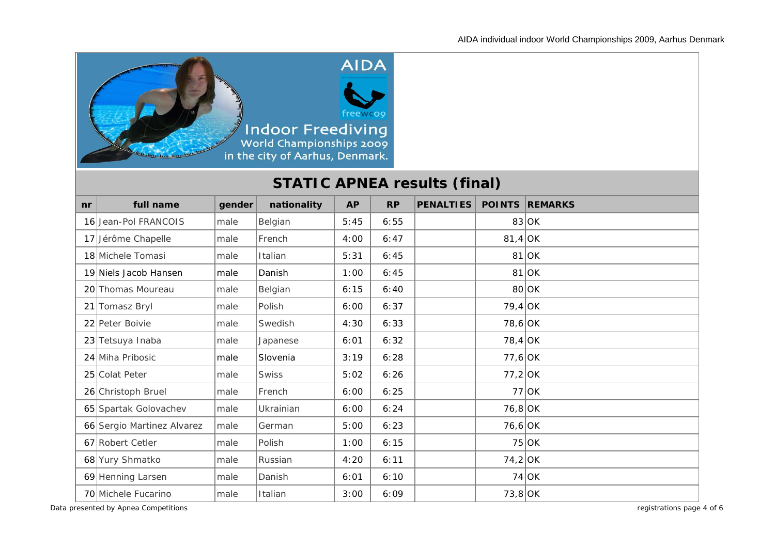

# **STATIC APNEA results (final)**

| n <b>r</b> | full name                  | gender | nationality  | <b>AP</b> | <b>RP</b> | <b>PENALTIES</b> |           | <b>POINTS REMARKS</b> |
|------------|----------------------------|--------|--------------|-----------|-----------|------------------|-----------|-----------------------|
|            | 16 Jean-Pol FRANCOIS       | male   | Belgian      | 5:45      | 6:55      |                  |           | $83$ OK               |
|            | 17 Jérôme Chapelle         | male   | French       | 4:00      | 6:47      |                  | $81,4$ OK |                       |
|            | 18 Michele Tomasi          | male   | Italian      | 5:31      | 6:45      |                  |           | $81$ OK               |
|            | 19 Niels Jacob Hansen      | male   | Danish       | 1:00      | 6:45      |                  |           | $81$ OK               |
|            | 20 Thomas Moureau          | male   | Belgian      | 6:15      | 6:40      |                  |           | $80$ OK               |
|            | 21 Tomasz Bryl             | male   | Polish       | 6:00      | 6:37      |                  | $79,4$ OK |                       |
|            | 22 Peter Boivie            | male   | Swedish      | 4:30      | 6:33      |                  | $78,6$ OK |                       |
|            | 23 Tetsuya Inaba           | male   | Japanese     | 6:01      | 6:32      |                  | $78,4$ OK |                       |
|            | 24 Miha Pribosic           | male   | Slovenia     | 3:19      | 6:28      |                  | $77,6$ OK |                       |
|            | 25 Colat Peter             | male   | <b>Swiss</b> | 5:02      | 6:26      |                  | $77,2$ OK |                       |
|            | 26 Christoph Bruel         | lmale  | French       | 6:00      | 6:25      |                  |           | $77$ OK               |
|            | 65 Spartak Golovachev      | lmale  | Ukrainian    | 6:00      | 6:24      |                  | $76,8$ OK |                       |
|            | 66 Sergio Martinez Alvarez | male   | German       | 5:00      | 6:23      |                  | $76,6$ OK |                       |
|            | 67 Robert Cetler           | male   | Polish       | 1:00      | 6:15      |                  |           | $75$ OK               |
|            | 68 Yury Shmatko            | male   | Russian      | 4:20      | 6:11      |                  | $74,2$ OK |                       |
|            | 69 Henning Larsen          | male   | Danish       | 6:01      | 6:10      |                  |           | $74$ OK               |
|            | 70 Michele Fucarino        | male   | Italian      | 3:00      | 6:09      |                  | $73,8$ OK |                       |

*Data presented by Apnea Competitions registrations page 4 of 6*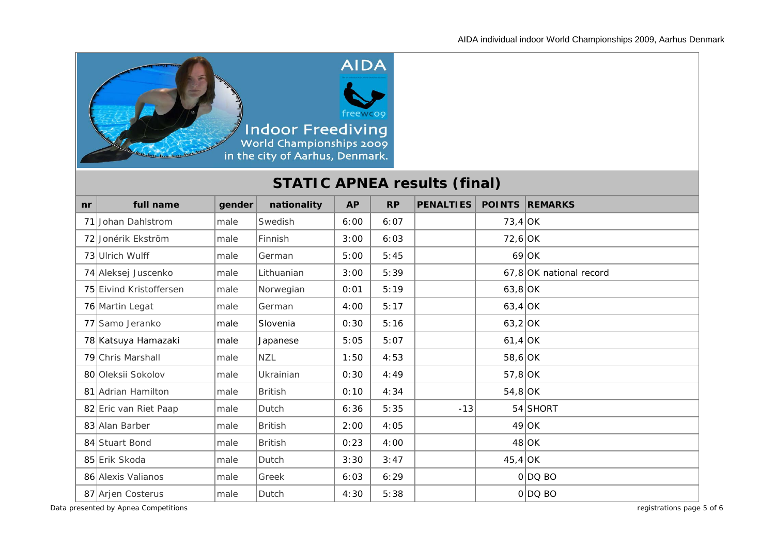

# **STATIC APNEA results (final)**

| nr | full name               | gender | nationality    | <b>AP</b> | <b>RP</b> | <b>PENALTIES</b> |           | <b>POINTS REMARKS</b>   |
|----|-------------------------|--------|----------------|-----------|-----------|------------------|-----------|-------------------------|
|    | 71 Johan Dahlstrom      | male   | Swedish        | 6:00      | 6:07      |                  | $73,4$ OK |                         |
|    | 72 Jonérik Ekström      | male   | Finnish        | 3:00      | 6:03      |                  | $72,6$ OK |                         |
|    | 73 Ulrich Wulff         | male   | German         | 5:00      | 5:45      |                  |           | $69$ OK                 |
|    | 74 Aleksej Juscenko     | male   | Lithuanian     | 3:00      | 5:39      |                  |           | 67,8 OK national record |
|    | 75 Eivind Kristoffersen | male   | Norwegian      | 0:01      | 5:19      |                  | $63,8$ OK |                         |
|    | 76 Martin Legat         | male   | German         | 4:00      | 5:17      |                  | $63,4$ OK |                         |
|    | 77 Samo Jeranko         | male   | Slovenia       | 0:30      | 5:16      |                  | $63,2$ OK |                         |
|    | 78 Katsuya Hamazaki     | male   | Japanese       | 5:05      | 5:07      |                  | $61,4$ OK |                         |
|    | 79 Chris Marshall       | male   | <b>NZL</b>     | 1:50      | 4:53      |                  | $58,6$ OK |                         |
|    | 80 Oleksii Sokolov      | male   | Ukrainian      | 0:30      | 4:49      |                  | $57,8$ OK |                         |
|    | 81 Adrian Hamilton      | lmale  | <b>British</b> | 0:10      | 4:34      |                  | $54,8$ OK |                         |
|    | 82 Eric van Riet Paap   | lmale  | Dutch          | 6:36      | 5:35      | $-13$            |           | 54 SHORT                |
|    | 83 Alan Barber          | male   | <b>British</b> | 2:00      | 4:05      |                  |           | $49$ OK                 |
|    | 84 Stuart Bond          | male   | <b>British</b> | 0:23      | 4:00      |                  |           | $48$ OK                 |
|    | 85 Erik Skoda           | male   | Dutch          | 3:30      | 3:47      |                  | $45,4$ OK |                         |
|    | 86 Alexis Valianos      | male   | Greek          | 6:03      | 6:29      |                  |           | O DOBO                  |
|    | 87 Arjen Costerus       | male   | Dutch          | 4:30      | 5:38      |                  |           | $0 DQ$ BO               |

*Data presented by Apnea Competitions registrations page 5 of 6*